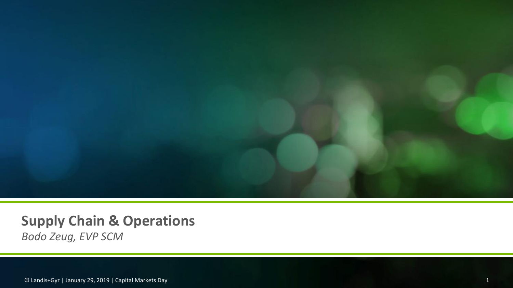

# **Supply Chain & Operations**

*Bodo Zeug, EVP SCM*

© Landis+Gyr | January 29, 2019 | Capital Markets Day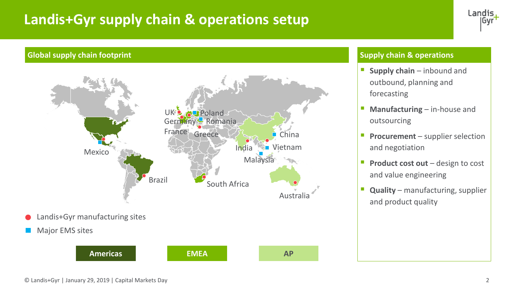# **Landis+Gyr supply chain & operations setup**



#### **Global supply chain footprint Supply chain footprint Supply chain & operations**



Major EMS sites



- **E** Supply chain inbound and outbound, planning and forecasting
- **E** Manufacturing in-house and outsourcing
- **Procurement** supplier selection and negotiation
- **Product cost out** design to cost and value engineering
- **Quality** manufacturing, supplier and product quality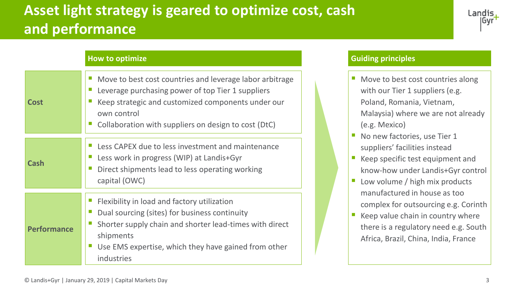# **Asset light strategy is geared to optimize cost, cash and performance**



#### **How to optimize**

| Cost               | Move to best cost countries and leverage labor arbitrage<br>Leverage purchasing power of top Tier 1 suppliers<br>Keep strategic and customized components under our<br>own control<br>Collaboration with suppliers on design to cost (DtC) |  |  |
|--------------------|--------------------------------------------------------------------------------------------------------------------------------------------------------------------------------------------------------------------------------------------|--|--|
| Cash               | Less CAPEX due to less investment and maintenance<br>Less work in progress (WIP) at Landis+Gyr<br>Direct shipments lead to less operating working<br>capital (OWC)                                                                         |  |  |
| <b>Performance</b> | Flexibility in load and factory utilization<br>Dual sourcing (sites) for business continuity<br>Shorter supply chain and shorter lead-times with direct<br>shipments<br>Use EMS expertise, which they have gained from other<br>industries |  |  |

#### **Guiding principles**

- Move to best cost countries along with our Tier 1 suppliers (e.g. Poland, Romania, Vietnam, Malaysia) where we are not already (e.g. Mexico)
- No new factories, use Tier 1 suppliers' facilities instead
- Keep specific test equipment and know-how under Landis+Gyr control
- Low volume / high mix products manufactured in house as too complex for outsourcing e.g. Corinth
- $\blacksquare$  Keep value chain in country where there is a regulatory need e.g. South Africa, Brazil, China, India, France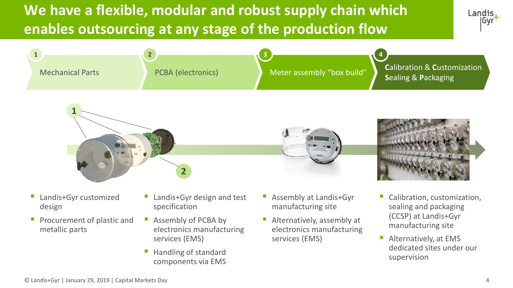# **We have a flexible, modular and robust supply chain which enables outsourcing at any stage of the production flow**









- Landis+Gyr customized design
- **Procurement of plastic and** metallic parts
- Landis+Gyr design and test specification
- Assembly of PCBA by electronics manufacturing services (EMS)
- Handling of standard components via EMS
- Assembly at Landis+Gyr manufacturing site
- Alternatively, assembly at electronics manufacturing services (EMS)
- Calibration, customization, sealing and packaging (CCSP) at Landis+Gyr manufacturing site
- Alternatively, at EMS dedicated sites under our supervision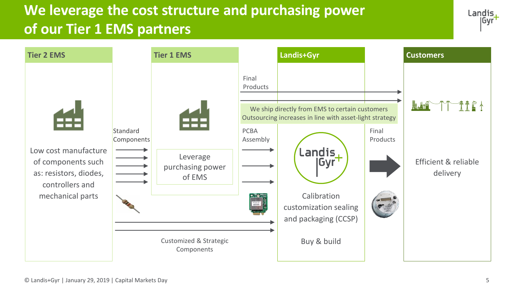# **We leverage the cost structure and purchasing power of our Tier 1 EMS partners**



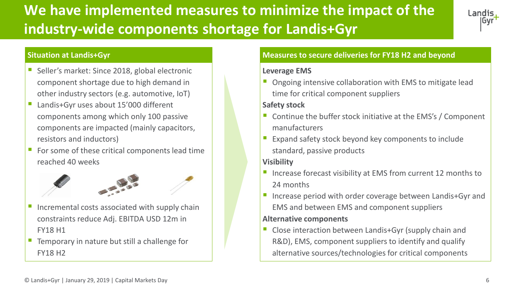# **We have implemented measures to minimize the impact of the industry-wide components shortage for Landis+Gyr**



#### **Situation at Landis+Gyr**

- Seller's market: Since 2018, global electronic component shortage due to high demand in other industry sectors (e.g. automotive, IoT)
- Landis+Gyr uses about 15'000 different components among which only 100 passive components are impacted (mainly capacitors, resistors and inductors)
- For some of these critical components lead time reached 40 weeks



- Incremental costs associated with supply chain constraints reduce Adj. EBITDA USD 12m in FY18 H1
- Temporary in nature but still a challenge for FY18 H2

### **Measures to secure deliveries for FY18 H2 and beyond**

### **Leverage EMS**

Ongoing intensive collaboration with EMS to mitigate lead time for critical component suppliers

#### **Safety stock**

- Continue the buffer stock initiative at the EMS's / Component manufacturers
- Expand safety stock beyond key components to include standard, passive products

### **Visibility**

- Increase forecast visibility at EMS from current 12 months to 24 months
- Increase period with order coverage between Landis+Gyr and EMS and between EMS and component suppliers

#### **Alternative components**

Close interaction between Landis+Gyr (supply chain and R&D), EMS, component suppliers to identify and qualify alternative sources/technologies for critical components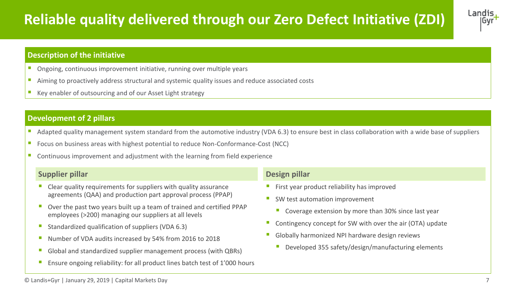# **Reliable quality delivered through our Zero Defect Initiative (ZDI)**



#### **Description of the initiative**

- Ongoing, continuous improvement initiative, running over multiple years
- Aiming to proactively address structural and systemic quality issues and reduce associated costs
- Key enabler of outsourcing and of our Asset Light strategy

### **Development of 2 pillars**

- Adapted quality management system standard from the automotive industry (VDA 6.3) to ensure best in class collaboration with a wide base of suppliers
- Focus on business areas with highest potential to reduce Non-Conformance-Cost (NCC)
- Continuous improvement and adjustment with the learning from field experience

#### **Supplier pillar**

- $\blacksquare$  Clear quality requirements for suppliers with quality assurance agreements (QAA) and production part approval process (PPAP)
- Over the past two years built up a team of trained and certified PPAP employees (>200) managing our suppliers at all levels
- Standardized qualification of suppliers (VDA 6.3)
- Number of VDA audits increased by 54% from 2016 to 2018
- Global and standardized supplier management process (with QBRs)
- Ensure ongoing reliability: for all product lines batch test of 1'000 hours

#### **Design pillar**

- First year product reliability has improved
- SW test automation improvement
	- Coverage extension by more than 30% since last year
- Contingency concept for SW with over the air (OTA) update
- Globally harmonized NPI hardware design reviews
	- Developed 355 safety/design/manufacturing elements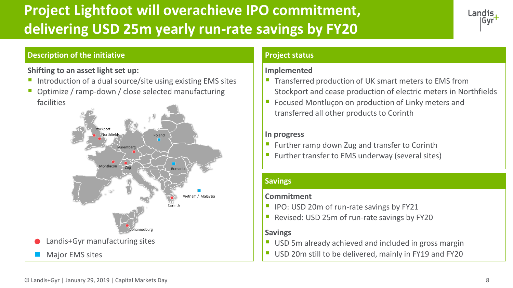# **Project Lightfoot will overachieve IPO commitment, delivering USD 25m yearly run-rate savings by FY20**



### **Description of the initiative**

## **Shifting to an asset light set up:**

- Introduction of a dual source/site using existing EMS sites
- Optimize / ramp-down / close selected manufacturing facilities



### **Project status**

### **Implemented**

- **The Transferred production of UK smart meters to EMS from** Stockport and cease production of electric meters in Northfields
- **E** Focused Montluçon on production of Linky meters and transferred all other products to Corinth

#### **In progress**

- Further ramp down Zug and transfer to Corinth
- Further transfer to EMS underway (several sites)

### **Savings**

### **Commitment**

- IPO: USD 20m of run-rate savings by FY21
- Revised: USD 25m of run-rate savings by FY20

### **Savings**

- USD 5m already achieved and included in gross margin
- Major EMS sites  $\parallel$   $\parallel$  USD 20m still to be delivered, mainly in FY19 and FY20